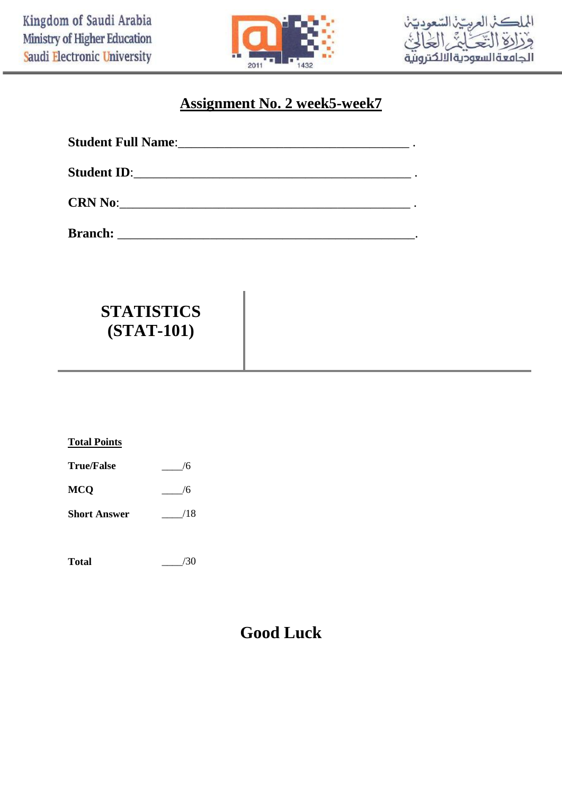



# **Assignment No. 2 week5-week7**

| <b>Student Full Name:_</b> |                                                                                                 | <u> 1980 - Johann Barn, margaret amerikan basar dan berkembang dan berkembang dan berkembang dan berkembang dan b</u> |
|----------------------------|-------------------------------------------------------------------------------------------------|-----------------------------------------------------------------------------------------------------------------------|
| <b>Student ID:</b>         | the contract of the contract of the contract of the contract of the contract of the contract of |                                                                                                                       |
|                            |                                                                                                 |                                                                                                                       |

**Branch:** \_\_\_\_\_\_\_\_\_\_\_\_\_\_\_\_\_\_\_\_\_\_\_\_\_\_\_\_\_\_\_\_\_\_\_\_\_\_\_\_\_\_\_\_\_.

# **STATISTICS (STAT-101)**

| <b>Total Points</b> |     |
|---------------------|-----|
| <b>True/False</b>   | 6   |
| <b>MCQ</b>          | 6   |
| <b>Short Answer</b> | /18 |
|                     |     |

| Total | /30 |
|-------|-----|
|       |     |

# **Good Luck**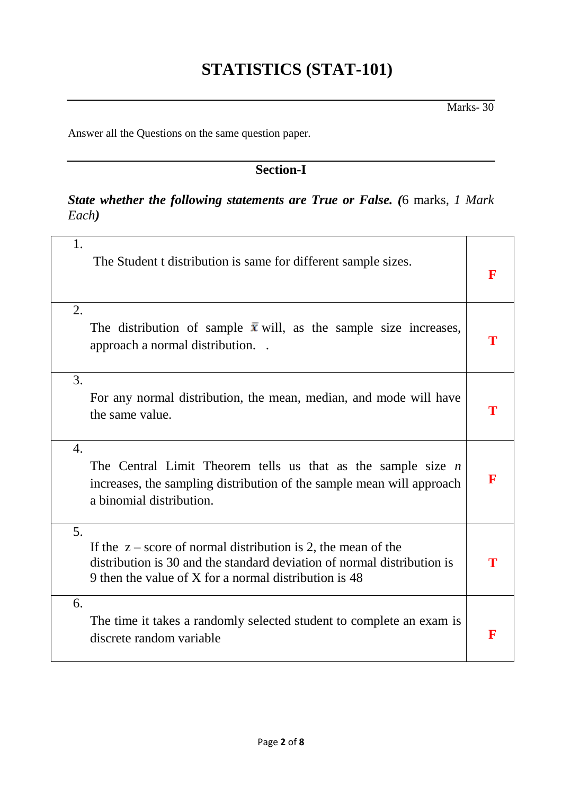# **STATISTICS (STAT-101)**

Answer all the Questions on the same question paper*.*

# **Section-I**

## *State whether the following statements are True or False. (*6 marks*, 1 Mark Each)*

| 1.                    | The Student t distribution is same for different sample sizes.                                                                                                                                      | זו |
|-----------------------|-----------------------------------------------------------------------------------------------------------------------------------------------------------------------------------------------------|----|
| 2.                    | The distribution of sample $\bar{x}$ will, as the sample size increases,<br>approach a normal distribution.<br>$\sim$                                                                               |    |
| 3.<br>the same value. | For any normal distribution, the mean, median, and mode will have                                                                                                                                   | Т  |
| $\overline{4}$ .      | The Central Limit Theorem tells us that as the sample size $n$<br>increases, the sampling distribution of the sample mean will approach<br>a binomial distribution.                                 | F  |
| 5.                    | If the $z$ – score of normal distribution is 2, the mean of the<br>distribution is 30 and the standard deviation of normal distribution is<br>9 then the value of X for a normal distribution is 48 |    |
| 6.                    | The time it takes a randomly selected student to complete an exam is<br>discrete random variable                                                                                                    | R  |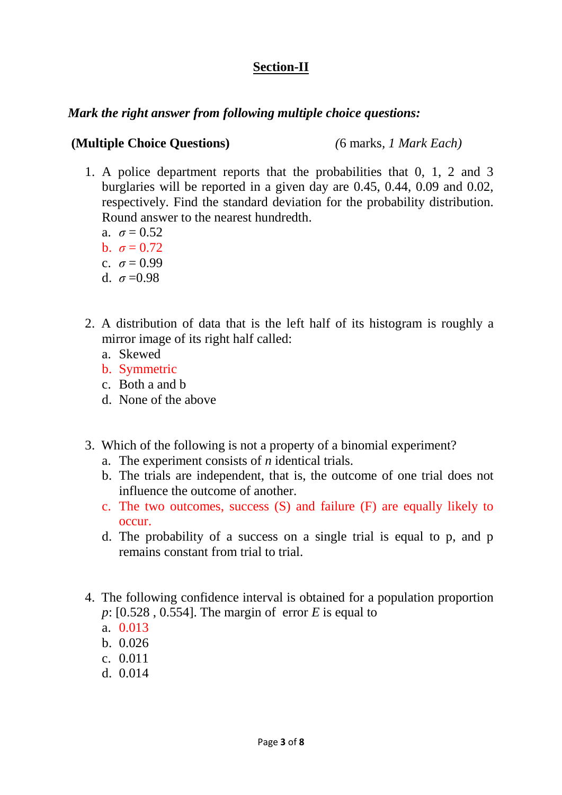## **Section-II**

### *Mark the right answer from following multiple choice questions:*

### **(Multiple Choice Questions)** *(*6 marks*, 1 Mark Each)*

- 1. A police department reports that the probabilities that 0, 1, 2 and 3 burglaries will be reported in a given day are 0.45, 0.44, 0.09 and 0.02, respectively. Find the standard deviation for the probability distribution. Round answer to the nearest hundredth.
	- a.  $\sigma = 0.52$
	- b.  $\sigma = 0.72$
	- c.  $\sigma = 0.99$
	- d.  $\sigma = 0.98$
- 2. A distribution of data that is the left half of its histogram is roughly a mirror image of its right half called:
	- a. Skewed
	- b. Symmetric
	- c. Both a and b
	- d. None of the above
- 3. Which of the following is not a property of a binomial experiment?
	- a. The experiment consists of *n* identical trials.
	- b. The trials are independent, that is, the outcome of one trial does not influence the outcome of another.
	- c. The two outcomes, success (S) and failure (F) are equally likely to occur.
	- d. The probability of a success on a single trial is equal to p, and p remains constant from trial to trial.
- 4. The following confidence interval is obtained for a population proportion *p*: [0.528 , 0.554]. The margin of error *E* is equal to
	- a. 0.013
	- b. 0.026
	- c. 0.011
	- d. 0.014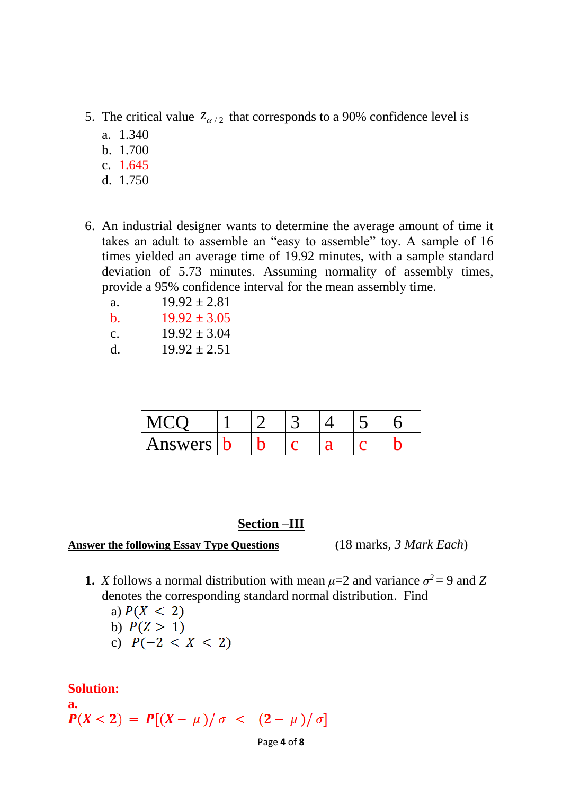- 5. The critical value  $z_{\alpha/2}$  that corresponds to a 90% confidence level is
	- a. 1.340
	- b. 1.700
	- c. 1.645
	- d. 1.750
- 6. An industrial designer wants to determine the average amount of time it takes an adult to assemble an "easy to assemble" toy. A sample of 16 times yielded an average time of 19.92 minutes, with a sample standard deviation of 5.73 minutes. Assuming normality of assembly times, provide a 95% confidence interval for the mean assembly time.
	- a.  $19.92 \pm 2.81$
	- b.  $19.92 \pm 3.05$
	- c.  $19.92 \pm 3.04$
	- d.  $19.92 \pm 2.51$

| Answers |  |  |  |
|---------|--|--|--|

#### **Section –III**

#### **Answer the following Essay Type Questions (**18 marks*, 3 Mark Each*)

**1.** *X* follows a normal distribution with mean  $\mu=2$  and variance  $\sigma^2 = 9$  and Z denotes the corresponding standard normal distribution. Find

a)  $P(X < 2)$ b)  $P(Z > 1)$ c)  $P(-2 < X < 2)$ 

**Solution:** 

**a.**<br> $P(X < 2) = P[(X - \mu)/\sigma < (2 - \mu)/\sigma]$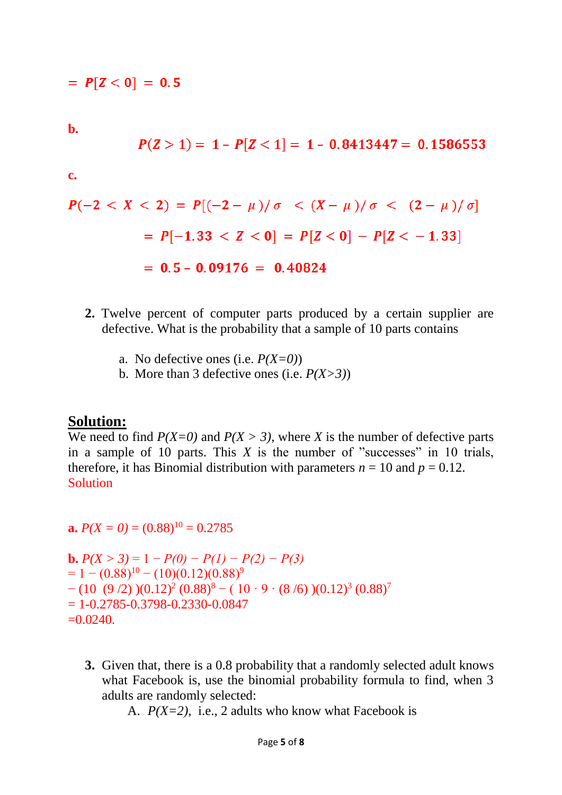$= P[Z < 0] = 0.5$ 

**b.** 

$$
P(Z>1)=1-P[Z<1]=1-0.8413447=0.1586553
$$

**c.** 

$$
P(-2 < X < 2) = P[(-2 - \mu)/\sigma < (X - \mu)/\sigma < (2 - \mu)/\sigma]
$$
\n
$$
= P[-1.33 < Z < 0] = P[Z < 0] - P[Z < -1.33]
$$
\n
$$
= 0.5 - 0.09176 = 0.40824
$$

- **2.** Twelve percent of computer parts produced by a certain supplier are defective. What is the probability that a sample of 10 parts contains
	- a. No defective ones (i.e. *P(X=0)*)
	- b. More than 3 defective ones (i.e. *P(X>3)*)

#### **Solution:**

We need to find  $P(X=0)$  and  $P(X > 3)$ , where *X* is the number of defective parts in a sample of 10 parts. This  $X$  is the number of "successes" in 10 trials, therefore, it has Binomial distribution with parameters  $n = 10$  and  $p = 0.12$ . **Solution** 

**a.**  $P(X = 0) = (0.88)^{10} = 0.2785$ 

**b.**  $P(X > 3) = 1 - P(0) - P(1) - P(2) - P(3)$  $= 1 - (0.88)^{10} - (10)(0.12)(0.88)^{9}$  $- (10 (9/2)) (0.12)^2 (0.88)^8 - (10 \cdot 9 \cdot (8/6)) (0.12)^3 (0.88)^7$  $= 1 - 0.2785 - 0.3798 - 0.2330 - 0.0847$  $=0.0240$ .

**3.** Given that, there is a 0.8 probability that a randomly selected adult knows what Facebook is, use the binomial probability formula to find, when 3 adults are randomly selected:

A. *P(X=2)*, i.e., 2 adults who know what Facebook is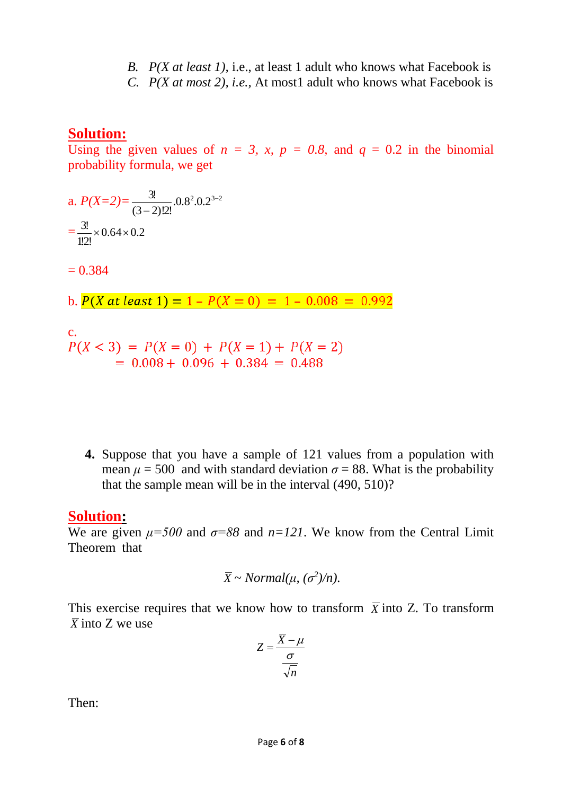- *B. P(X at least 1),* i.e., at least 1 adult who knows what Facebook is
- *C. P(X at most 2), i.e.,* At most1 adult who knows what Facebook is

## **Solution:**

Using the given values of  $n = 3$ ,  $x$ ,  $p = 0.8$ , and  $q = 0.2$  in the binomial probability formula, we get

a.  $P(X=2) = \frac{3!}{(2 \cdot 2)!}$   $0.8^2 \cdot 0.2^{3-2}$  $(3 - 2)$ !2!  $3! \ 0.8^2 0.2^{3-}$  $\overline{a}$  $=\frac{3!}{100}\times 0.64\times 0.2$ 1!2!  $\frac{3!}{10}$  × 0.64 ×

 $= 0.384$ 

b.  $P(X \text{ at least } 1) = 1 - P(X = 0) = 1 - 0.008 = 0.992$ 

c.<br> $P(X < 3) = P(X = 0) + P(X = 1) + P(X = 2)$  $= 0.008 + 0.096 + 0.384 = 0.488$ 

**4.** Suppose that you have a sample of 121 values from a population with mean  $\mu$  = 500 and with standard deviation  $\sigma$  = 88. What is the probability that the sample mean will be in the interval (490, 510)?

## **Solution:**

We are given  $\mu = 500$  and  $\sigma = 88$  and  $n = 121$ . We know from the Central Limit Theorem that

$$
\overline{X} \sim Normal(\mu, (\sigma^2)/n).
$$

This exercise requires that we know how to transform  $\bar{X}$  into Z. To transform  $\overline{X}$  into Z we use

$$
Z = \frac{\overline{X} - \mu}{\frac{\sigma}{\sqrt{n}}}
$$

Then: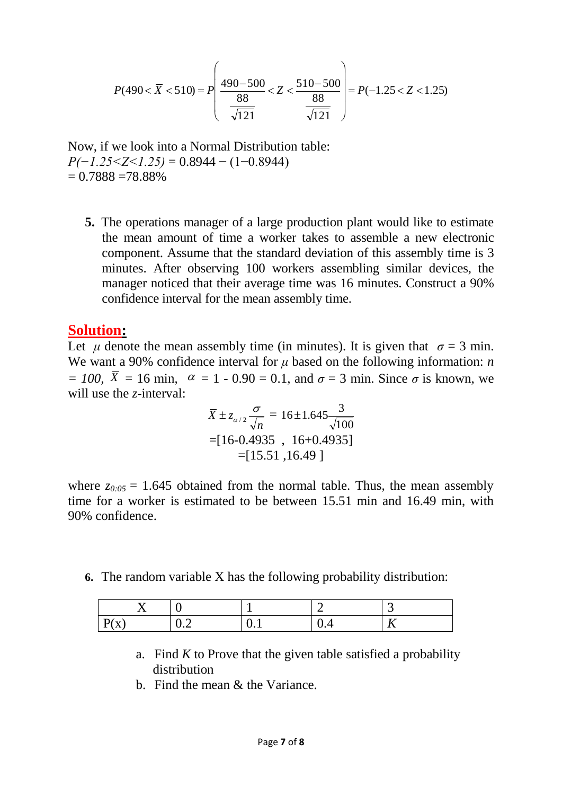$$
P(490 < \overline{X} < 510) = P\left(\frac{490 - 500}{88} < Z < \frac{510 - 500}{88} \right) = P(-1.25 < Z < 1.25)
$$

Now, if we look into a Normal Distribution table: *P(−1.25<Z<1.25)* = 0.8944 − (1−0.8944)  $= 0.7888 = 78.88\%$ 

**5.** The operations manager of a large production plant would like to estimate the mean amount of time a worker takes to assemble a new electronic component. Assume that the standard deviation of this assembly time is 3 minutes. After observing 100 workers assembling similar devices, the manager noticed that their average time was 16 minutes. Construct a 90% confidence interval for the mean assembly time.

### **Solution:**

Let *μ* denote the mean assembly time (in minutes). It is given that  $\sigma = 3$  min. We want a 90% confidence interval for *μ* based on the following information: *n*   $= 100$ , *X* = 16 min, *α* = 1 - 0.90 = 0.1, and *σ* = 3 min. Since *σ* is known, we will use the *z*-interval:

$$
\overline{X} \pm z_{\alpha/2} \frac{\sigma}{\sqrt{n}} = 16 \pm 1.645 \frac{3}{\sqrt{100}}
$$
  
= [16-0.4935 , 16+0.4935]  
= [15.51 ,16.49 ]

where  $z_{0.05} = 1.645$  obtained from the normal table. Thus, the mean assembly time for a worker is estimated to be between 15.51 min and 16.49 min, with 90% confidence.

**6.** The random variable X has the following probability distribution:

|                                                 |                               |     | ∽   | ັ |
|-------------------------------------------------|-------------------------------|-----|-----|---|
| יש<br>$\mathbf{v}$<br>$\Lambda$<br>$\mathbf{r}$ | $\mathbf{v} \cdot \mathbf{v}$ | ◡.⊥ | v.⊣ |   |

- a. Find  $K$  to Prove that the given table satisfied a probability distribution
- b. Find the mean & the Variance.